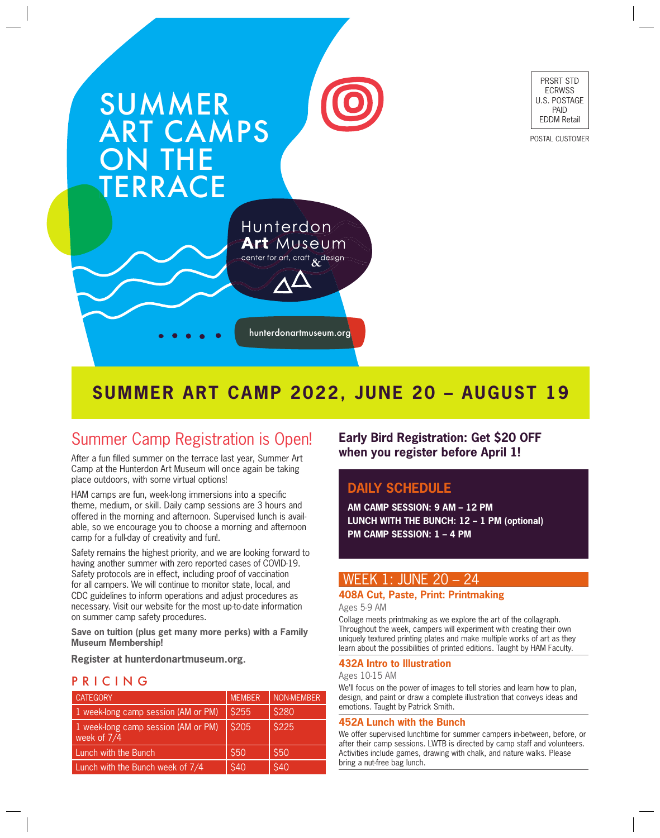

PRSRT STD ECRWSS U.S. POSTAGE PAID EDDM Retail

POSTAL CUSTOMER

# **SUMMER ART CAMP 2022, JUNE 20 – AUGUST 19**

# Summer Camp Registration is Open!

After a fun filled summer on the terrace last year, Summer Art Camp at the Hunterdon Art Museum will once again be taking place outdoors, with some virtual options!

HAM camps are fun, week-long immersions into a specific theme, medium, or skill. Daily camp sessions are 3 hours and offered in the morning and afternoon. Supervised lunch is available, so we encourage you to choose a morning and afternoon camp for a full-day of creativity and fun!.

Safety remains the highest priority, and we are looking forward to having another summer with zero reported cases of COVID-19. Safety protocols are in effect, including proof of vaccination for all campers. We will continue to monitor state, local, and CDC guidelines to inform operations and adjust procedures as necessary. Visit our website for the most up-to-date information on summer camp safety procedures.

**Save on tuition (plus get many more perks) with a Family Museum Membership!**

**Register at hunterdonartmuseum.org.**

# PRICING

| <b>CATEGORY</b>                                    | <b>MEMBER</b> | <b>NON-MEMBER</b> |
|----------------------------------------------------|---------------|-------------------|
| 1 week-long camp session (AM or PM)                | \$255         | \$280             |
| 1 week-long camp session (AM or PM)<br>week of 7/4 | \$205         | \$225             |
| Lunch with the Bunch                               | \$50          | \$50              |
| Lunch with the Bunch week of 7/4                   | \$40          | \$40              |

**Early Bird Registration: Get \$20 OFF when you register before April 1!**

# **DAILY SCHEDULE**

**AM CAMP SESSION: 9 AM – 12 PM LUNCH WITH THE BUNCH: 12 – 1 PM (optional) PM CAMP SESSION: 1 – 4 PM**

# WEEK 1: JUNE 20 – 24

# **408A Cut, Paste, Print: Printmaking**

Ages 5-9 AM

Collage meets printmaking as we explore the art of the collagraph. Throughout the week, campers will experiment with creating their own uniquely textured printing plates and make multiple works of art as they learn about the possibilities of printed editions. Taught by HAM Faculty.

## **432A Intro to Illustration**

Ages 10-15 AM

We'll focus on the power of images to tell stories and learn how to plan, design, and paint or draw a complete illustration that conveys ideas and emotions. Taught by Patrick Smith.

## **452A Lunch with the Bunch**

We offer supervised lunchtime for summer campers in-between, before, or after their camp sessions. LWTB is directed by camp staff and volunteers. Activities include games, drawing with chalk, and nature walks. Please bring a nut-free bag lunch.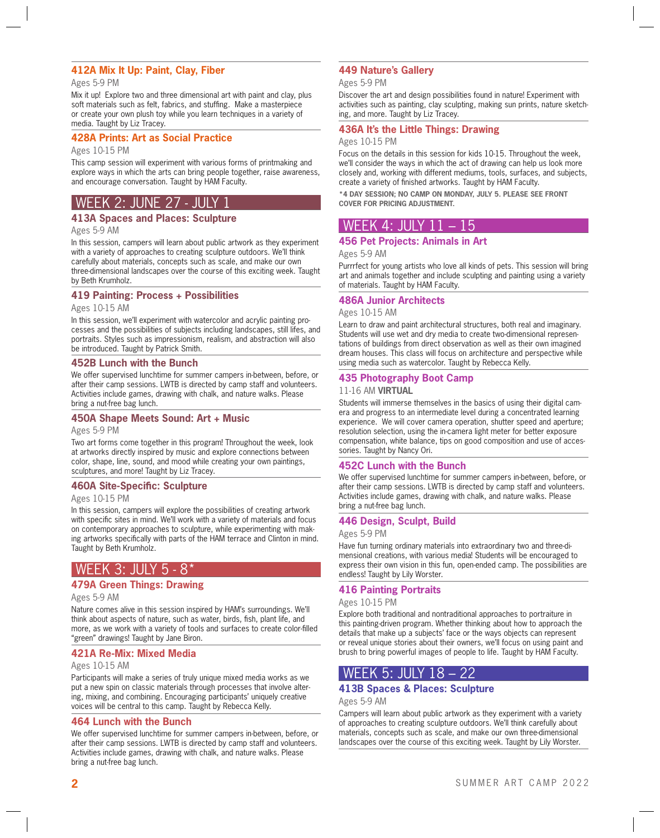# **412A Mix It Up: Paint, Clay, Fiber**

### Ages 5-9 PM

Mix it up! Explore two and three dimensional art with paint and clay, plus soft materials such as felt, fabrics, and stuffing. Make a masterpiece or create your own plush toy while you learn techniques in a variety of media. Taught by Liz Tracey.

### **428A Prints: Art as Social Practice**

### Ages 10-15 PM

This camp session will experiment with various forms of printmaking and explore ways in which the arts can bring people together, raise awareness, and encourage conversation. Taught by HAM Faculty.

# l Week 2: June 27 - Jui

# **413A Spaces and Places: Sculpture**

Ages 5-9 AM

In this session, campers will learn about public artwork as they experiment with a variety of approaches to creating sculpture outdoors. We'll think carefully about materials, concepts such as scale, and make our own three-dimensional landscapes over the course of this exciting week. Taught by Beth Krumholz.

# **419 Painting: Process + Possibilities**

Ages 10-15 AM

In this session, we'll experiment with watercolor and acrylic painting processes and the possibilities of subjects including landscapes, still lifes, and portraits. Styles such as impressionism, realism, and abstraction will also be introduced. Taught by Patrick Smith.

### **452B Lunch with the Bunch**

We offer supervised lunchtime for summer campers in-between, before, or after their camp sessions. LWTB is directed by camp staff and volunteers. Activities include games, drawing with chalk, and nature walks. Please bring a nut-free bag lunch.

### **450A Shape Meets Sound: Art + Music**

Ages 5-9 PM

Two art forms come together in this program! Throughout the week, look at artworks directly inspired by music and explore connections between color, shape, line, sound, and mood while creating your own paintings, sculptures, and more! Taught by Liz Tracey.

### **460A Site-Specific: Sculpture**

Ages 10-15 PM

In this session, campers will explore the possibilities of creating artwork with specific sites in mind. We'll work with a variety of materials and focus on contemporary approaches to sculpture, while experimenting with making artworks specifically with parts of the HAM terrace and Clinton in mind. Taught by Beth Krumholz.

# WEEK 3: JULY 5 - 8\*

## **479A Green Things: Drawing**

### Ages 5-9 AM

Nature comes alive in this session inspired by HAM's surroundings. We'll think about aspects of nature, such as water, birds, fish, plant life, and more, as we work with a variety of tools and surfaces to create color-filled "green" drawings! Taught by Jane Biron.

## **421A Re-Mix: Mixed Media**

### Ages 10-15 AM

Participants will make a series of truly unique mixed media works as we put a new spin on classic materials through processes that involve altering, mixing, and combining. Encouraging participants' uniquely creative voices will be central to this camp. Taught by Rebecca Kelly.

## **464 Lunch with the Bunch**

We offer supervised lunchtime for summer campers in-between, before, or after their camp sessions. LWTB is directed by camp staff and volunteers. Activities include games, drawing with chalk, and nature walks. Please bring a nut-free bag lunch.

# **449 Nature's Gallery**

### Ages 5-9 PM

Discover the art and design possibilities found in nature! Experiment with activities such as painting, clay sculpting, making sun prints, nature sketching, and more. Taught by Liz Tracey.

# **436A It's the Little Things: Drawing**

### Ages 10-15 PM

Focus on the details in this session for kids 10-15. Throughout the week, we'll consider the ways in which the act of drawing can help us look more closely and, working with different mediums, tools, surfaces, and subjects, create a variety of finished artworks. Taught by HAM Faculty.

**\*4 DAY SESSION; NO CAMP ON MONDAY, JULY 5. PLEASE SEE FRONT COVER FOR PRICING ADJUSTMENT.**

# WEEK 4: JULY 11 – 15

# **456 Pet Projects: Animals in Art**

Ages 5-9 AM

Purrrfect for young artists who love all kinds of pets. This session will bring art and animals together and include sculpting and painting using a variety of materials. Taught by HAM Faculty.

## **486A Junior Architects**

### Ages 10-15 AM

Learn to draw and paint architectural structures, both real and imaginary. Students will use wet and dry media to create two-dimensional representations of buildings from direct observation as well as their own imagined dream houses. This class will focus on architecture and perspective while using media such as watercolor. Taught by Rebecca Kelly.

## **435 Photography Boot Camp**

### 11-16 AM **VIRTUAL**

Students will immerse themselves in the basics of using their digital camera and progress to an intermediate level during a concentrated learning experience. We will cover camera operation, shutter speed and aperture; resolution selection, using the in-camera light meter for better exposure compensation, white balance, tips on good composition and use of accessories. Taught by Nancy Ori.

## **452C Lunch with the Bunch**

We offer supervised lunchtime for summer campers in-between, before, or after their camp sessions. LWTB is directed by camp staff and volunteers. Activities include games, drawing with chalk, and nature walks. Please bring a nut-free bag lunch.

## **446 Design, Sculpt, Build**

### Ages 5-9 PM

Have fun turning ordinary materials into extraordinary two and three-dimensional creations, with various media! Students will be encouraged to express their own vision in this fun, open-ended camp. The possibilities are endless! Taught by Lily Worster.

# **416 Painting Portraits**

### Ages 10-15 PM

Explore both traditional and nontraditional approaches to portraiture in this painting-driven program. Whether thinking about how to approach the details that make up a subjects' face or the ways objects can represent or reveal unique stories about their owners, we'll focus on using paint and brush to bring powerful images of people to life. Taught by HAM Faculty.

# WEEK 5: JULY 18 – 22

# **413B Spaces & Places: Sculpture**

### Ages 5-9 AM

Campers will learn about public artwork as they experiment with a variety of approaches to creating sculpture outdoors. We'll think carefully about materials, concepts such as scale, and make our own three-dimensional landscapes over the course of this exciting week. Taught by Lily Worster.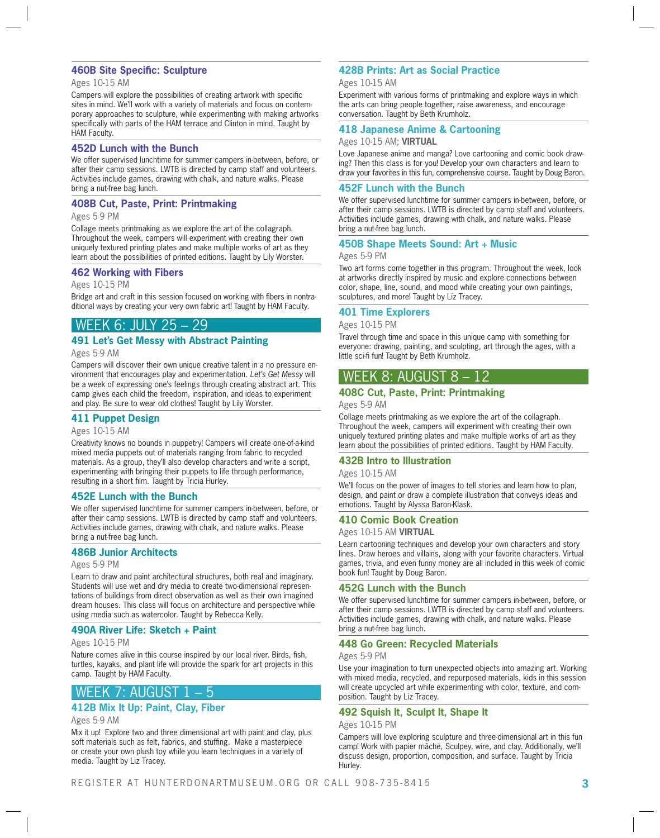# **460B Site Specific: Sculpture**

### Ages 10-15 AM

Campers will explore the possibilities of creating artwork with specific sites in mind. We'll work with a variety of materials and focus on contemporary approaches to sculpture, while experimenting with making artworks specifically with parts of the HAM terrace and Clinton in mind. Taught by HAM Faculty.

### **452D Lunch with the Bunch**

We offer supervised lunchtime for summer campers in-between, before, or after their camp sessions. LWTB is directed by camp staff and volunteers. Activities include games, drawing with chalk, and nature walks. Please bring a nut-free bag lunch.

### **408B Cut, Paste, Print: Printmaking**

### Ages 5-9 PM

Collage meets printmaking as we explore the art of the collagraph. Throughout the week, campers will experiment with creating their own uniquely textured printing plates and make multiple works of art as they learn about the possibilities of printed editions. Taught by Lily Worster.

### **462 Working with Fibers**

Ages 10-15 PM

Bridge art and craft in this session focused on working with fibers in nontraditional ways by creating your very own fabric art! Taught by HAM Faculty.

# WEEK 6: JULY 25

# **491 Let's Get Messy with Abstract Painting**

Ages 5-9 AM

Campers will discover their own unique creative talent in a no pressure environment that encourages play and experimentation. *Let's Get Messy* will be a week of expressing one's feelings through creating abstract art. This camp gives each child the freedom, inspiration, and ideas to experiment and play. Be sure to wear old clothes! Taught by Lily Worster.

## **411 Puppet Design**

### Ages 10-15 AM

Creativity knows no bounds in puppetry! Campers will create one-of-a-kind mixed media puppets out of materials ranging from fabric to recycled materials. As a group, they'll also develop characters and write a script, experimenting with bringing their puppets to life through performance, resulting in a short film. Taught by Tricia Hurley.

### **452E Lunch with the Bunch**

We offer supervised lunchtime for summer campers in-between, before, or after their camp sessions. LWTB is directed by camp staff and volunteers. Activities include games, drawing with chalk, and nature walks. Please bring a nut-free bag lunch.

## **486B Junior Architects**

### Ages 5-9 PM

Learn to draw and paint architectural structures, both real and imaginary. Students will use wet and dry media to create two-dimensional representations of buildings from direct observation as well as their own imagined dream houses. This class will focus on architecture and perspective while using media such as watercolor. Taught by Rebecca Kelly.

## **490A River Life: Sketch + Paint**

### Ages 10-15 PM

Nature comes alive in this course inspired by our local river. Birds, fish, turtles, kayaks, and plant life will provide the spark for art projects in this camp. Taught by HAM Faculty.

# WEEK 7: AUGUST 1 – 5

# **412B Mix It Up: Paint, Clay, Fiber**

Ages 5-9 AM

Mix it up! Explore two and three dimensional art with paint and clay, plus soft materials such as felt, fabrics, and stuffing. Make a masterpiece or create your own plush toy while you learn techniques in a variety of media. Taught by Liz Tracey.

# **428B Prints: Art as Social Practice**

### Ages 10-15 AM

Experiment with various forms of printmaking and explore ways in which the arts can bring people together, raise awareness, and encourage conversation. Taught by Beth Krumholz.

### **418 Japanese Anime & Cartooning**

### Ages 10-15 AM; **VIRTUAL**

Love Japanese anime and manga? Love cartooning and comic book drawing? Then this class is for you! Develop your own characters and learn to draw your favorites in this fun, comprehensive course. Taught by Doug Baron.

### **452F Lunch with the Bunch**

We offer supervised lunchtime for summer campers in-between, before, or after their camp sessions. LWTB is directed by camp staff and volunteers. Activities include games, drawing with chalk, and nature walks. Please bring a nut-free bag lunch.

## **450B Shape Meets Sound: Art + Music**

### Ages 5-9 PM

Two art forms come together in this program. Throughout the week, look at artworks directly inspired by music and explore connections between color, shape, line, sound, and mood while creating your own paintings, sculptures, and more! Taught by Liz Tracey.

# **401 Time Explorers**

### Ages 10-15 PM

Travel through time and space in this unique camp with something for everyone: drawing, painting, and sculpting, art through the ages, with a little sci-fi fun! Taught by Beth Krumholz.

# WEEK 8: AUGUST 8 – 12

# **408C Cut, Paste, Print: Printmaking**

### Ages 5-9 AM

Collage meets printmaking as we explore the art of the collagraph. Throughout the week, campers will experiment with creating their own uniquely textured printing plates and make multiple works of art as they learn about the possibilities of printed editions. Taught by HAM Faculty.

## **432B Intro to Illustration**

### Ages 10-15 AM

We'll focus on the power of images to tell stories and learn how to plan, design, and paint or draw a complete illustration that conveys ideas and emotions. Taught by Alyssa Baron-Klask.

### **410 Comic Book Creation**

Ages 10-15 AM **VIRTUAL**

Learn cartooning techniques and develop your own characters and story lines. Draw heroes and villains, along with your favorite characters. Virtual games, trivia, and even funny money are all included in this week of comic book fun! Taught by Doug Baron.

## **452G Lunch with the Bunch**

We offer supervised lunchtime for summer campers in-between, before, or after their camp sessions. LWTB is directed by camp staff and volunteers. Activities include games, drawing with chalk, and nature walks. Please bring a nut-free bag lunch.

## **448 Go Green: Recycled Materials**

### Ages 5-9 PM

Use your imagination to turn unexpected objects into amazing art. Working with mixed media, recycled, and repurposed materials, kids in this session will create upcycled art while experimenting with color, texture, and composition. Taught by Liz Tracey.

## **492 Squish It, Sculpt It, Shape It**

### Ages 10-15 PM

Campers will love exploring sculpture and three-dimensional art in this fun camp! Work with papier mâché, Sculpey, wire, and clay. Additionally, we'll discuss design, proportion, composition, and surface. Taught by Tricia Hurley.